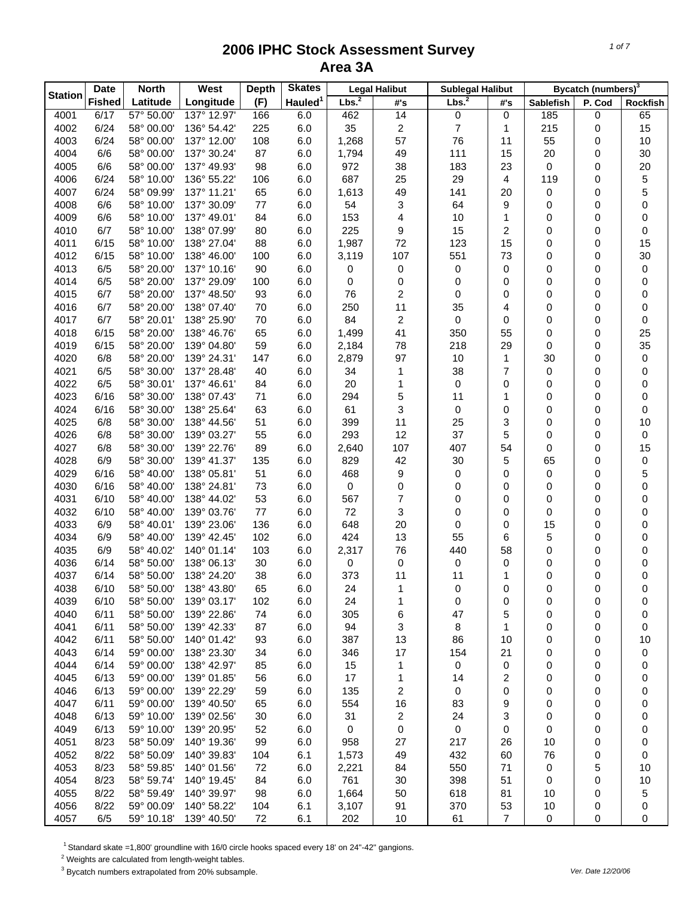| <b>Station</b> | <b>Date</b>   | <b>North</b>             | West                       | <b>Depth</b> | <b>Skates</b>       |                   | <b>Legal Halibut</b> | <b>Sublegal Halibut</b> |                |                  | Bycatch (numbers) <sup>3</sup> |          |
|----------------|---------------|--------------------------|----------------------------|--------------|---------------------|-------------------|----------------------|-------------------------|----------------|------------------|--------------------------------|----------|
|                | <b>Fished</b> | Latitude                 | Longitude                  | (F)          | Hauled <sup>1</sup> | Lbs. <sup>2</sup> | #'s                  | Lbs. <sup>2</sup>       | #'s            | <b>Sablefish</b> | P. Cod                         | Rockfish |
| 4001           | 6/17          | 57° 50.00'               | 137° 12.97'                | 166          | 6.0                 | 462               | 14                   | 0                       | 0              | 185              | 0                              | 65       |
| 4002           | 6/24          | 58° 00.00'               | 136° 54.42'                | 225          | 6.0                 | 35                | 2                    | $\overline{7}$          | 1              | 215              | 0                              | 15       |
| 4003           | 6/24          | 58° 00.00'               | 137° 12.00'                | 108          | 6.0                 | 1,268             | 57                   | 76                      | 11             | 55               | 0                              | 10       |
| 4004           | 6/6           | 58° 00.00'               | 137° 30.24'                | 87           | 6.0                 | 1,794             | 49                   | 111                     | 15             | 20               | 0                              | 30       |
| 4005           | 6/6           | 58° 00.00'               | 137° 49.93'                | 98           | 6.0                 | 972               | 38                   | 183                     | 23             | 0                | 0                              | 20       |
| 4006           | 6/24          | 58° 10.00'               | 136° 55.22'                | 106          | 6.0                 | 687               | 25                   | 29                      | 4              | 119              | 0                              | 5        |
| 4007           | 6/24          | 58° 09.99'               | 137° 11.21'                | 65           | 6.0                 | 1,613             | 49                   | 141                     | 20             | 0                | 0                              | 5        |
| 4008           | 6/6           | 58° 10.00'               | 137° 30.09'                | 77           | 6.0                 | 54                | 3                    | 64                      | 9              | 0                | 0                              | 0        |
| 4009           | 6/6           | 58° 10.00'               | 137° 49.01'                | 84           | 6.0                 | 153               | 4                    | 10                      | 1              | 0                | 0                              | 0        |
| 4010           | 6/7           | 58° 10.00'               | 138° 07.99'                | 80           | 6.0                 | 225               | 9                    | 15                      | 2              | 0                | 0                              | 0        |
| 4011           | 6/15          | 58° 10.00'               | 138° 27.04'                | 88           | 6.0                 | 1,987             | 72                   | 123                     | 15             | 0                | 0                              | 15       |
| 4012           | 6/15          | 58° 10.00'               | 138° 46.00'                | 100          | 6.0                 | 3,119             | 107                  | 551                     | 73             | 0                | 0                              | 30       |
| 4013           | 6/5           | 58° 20.00'               | 137° 10.16'                | 90           | 6.0                 | 0                 | 0                    | $\pmb{0}$               | 0              | 0                | 0                              | 0        |
| 4014           | 6/5           | 58° 20.00'               | 137° 29.09'                | 100          | 6.0                 | 0                 | 0                    | 0                       | 0              | 0                | 0                              | 0        |
| 4015           | 6/7           | 58° 20.00'<br>58° 20.00' | 137° 48.50'                | 93           | 6.0                 | 76                | 2                    | 0                       | 0              | 0                | 0                              | 0        |
| 4016<br>4017   | 6/7<br>6/7    | 58° 20.01'               | 138° 07.40'<br>138° 25.90' | 70<br>70     | 6.0<br>6.0          | 250<br>84         | 11<br>2              | 35<br>0                 | 4<br>0         | 0<br>0           | 0<br>0                         | 0        |
| 4018           | 6/15          | 58° 20.00'               | 138° 46.76'                | 65           | 6.0                 | 1,499             | 41                   | 350                     | 55             | 0                | 0                              | 0<br>25  |
| 4019           | 6/15          | 58° 20.00'               | 139° 04.80'                | 59           | 6.0                 | 2,184             | 78                   | 218                     | 29             | 0                | 0                              | 35       |
| 4020           | 6/8           | 58° 20.00'               | 139° 24.31'                | 147          | 6.0                 | 2,879             | 97                   | $10$                    | $\mathbf{1}$   | 30               | 0                              | 0        |
| 4021           | 6/5           | 58° 30.00'               | 137° 28.48'                | 40           | 6.0                 | 34                | 1                    | 38                      | $\overline{7}$ | 0                | 0                              | 0        |
| 4022           | 6/5           | 58° 30.01'               | 137° 46.61'                | 84           | 6.0                 | 20                | 1                    | 0                       | 0              | 0                | 0                              | 0        |
| 4023           | 6/16          | 58° 30.00'               | 138° 07.43'                | 71           | 6.0                 | 294               | 5                    | 11                      | 1              | 0                | 0                              | 0        |
| 4024           | 6/16          | 58° 30.00'               | 138° 25.64'                | 63           | 6.0                 | 61                | 3                    | 0                       | 0              | 0                | 0                              | 0        |
| 4025           | 6/8           | 58° 30.00'               | 138° 44.56'                | 51           | 6.0                 | 399               | 11                   | 25                      | 3              | 0                | 0                              | 10       |
| 4026           | 6/8           | 58° 30.00'               | 139° 03.27'                | 55           | 6.0                 | 293               | 12                   | 37                      | 5              | 0                | 0                              | 0        |
| 4027           | 6/8           | 58° 30.00'               | 139° 22.76'                | 89           | 6.0                 | 2,640             | 107                  | 407                     | 54             | 0                | 0                              | 15       |
| 4028           | 6/9           | 58° 30.00'               | 139° 41.37'                | 135          | 6.0                 | 829               | 42                   | 30                      | 5              | 65               | 0                              | 0        |
| 4029           | 6/16          | 58° 40.00'               | 138° 05.81'                | 51           | 6.0                 | 468               | 9                    | 0                       | 0              | 0                | 0                              | 5        |
| 4030           | 6/16          | 58° 40.00'               | 138° 24.81'                | 73           | 6.0                 | 0                 | 0                    | 0                       | 0              | 0                | 0                              | 0        |
| 4031           | 6/10          | 58° 40.00'               | 138° 44.02'                | 53           | 6.0                 | 567               | 7                    | 0                       | 0              | 0                | 0                              | 0        |
| 4032           | 6/10          | 58° 40.00'               | 139° 03.76'                | 77           | 6.0                 | 72                | 3                    | 0                       | 0              | 0                | 0                              | 0        |
| 4033           | 6/9           | 58° 40.01'               | 139° 23.06'                | 136          | 6.0                 | 648               | 20                   | 0                       | 0              | 15               | 0                              | 0        |
| 4034           | 6/9           | 58° 40.00'               | 139° 42.45'                | 102          | 6.0                 | 424               | 13                   | 55                      | 6              | 5                | 0                              | 0        |
| 4035           | 6/9           | 58° 40.02'               | 140° 01.14'                | 103          | 6.0                 | 2,317             | 76                   | 440                     | 58             | 0                | 0                              | 0        |
| 4036           | 6/14          | 58° 50.00'               | 138° 06.13'                | 30           | 6.0                 | 0                 | 0                    | 0                       | 0              | 0                | 0                              | 0        |
| 4037           | 6/14          | 58° 50.00'               | 138° 24.20'                | 38           | 6.0                 | 373               | 11                   | 11                      | 1              | 0                | 0                              | 0        |
| 4038           | 6/10          | 58° 50.00'               | 138° 43.80'                | 65           | $6.0\,$             | 24                | 1                    | $\pmb{0}$               | 0              | 0                | 0                              | 0        |
| 4039           | 6/10          | 58° 50.00'               | 139° 03.17'                | 102          | 6.0                 | 24                | 1                    | 0                       | 0              | 0                | 0                              | 0        |
| 4040           | 6/11          | 58° 50.00'               | 139° 22.86'                | 74           | 6.0                 | 305               | 6                    | 47                      | 5              | 0                | 0                              | 0        |
| 4041           | 6/11          | 58° 50.00'               | 139° 42.33'                | 87           | 6.0                 | 94                | 3                    | 8                       | 1              | 0                | 0                              | 0        |
| 4042           | 6/11          | 58° 50.00'               | 140° 01.42'                | 93           | 6.0                 | 387               | 13                   | 86                      | 10             | 0                | 0                              | 10       |
| 4043           | 6/14          | 59° 00.00'               | 138° 23.30'                | 34           | 6.0                 | 346               | 17                   | 154                     | 21             | 0                | 0                              | 0        |
| 4044           | 6/14          | 59° 00.00'               | 138° 42.97'                | 85           | 6.0                 | 15                | 1                    | 0                       | 0              | 0                | 0                              | 0        |
| 4045           | 6/13          | 59° 00.00'               | 139° 01.85'                | 56           | 6.0                 | 17                | 1                    | 14                      | 2              | 0                | 0                              | 0        |
| 4046           | 6/13          | 59° 00.00'               | 139° 22.29'                | 59           | 6.0                 | 135               | 2                    | 0                       | 0              | 0                | 0                              | 0        |
| 4047           | 6/11          | 59° 00.00'               | 139° 40.50'                | 65           | 6.0                 | 554               | 16                   | 83                      | 9              | 0                | 0                              | 0        |
| 4048           | 6/13          | 59° 10.00'               | 139° 02.56'                | 30           | 6.0                 | 31                | 2                    | 24                      | 3              | 0                | 0                              | 0        |
| 4049           | 6/13          | 59° 10.00'               | 139° 20.95'                | 52           | 6.0                 | 0                 | 0                    | 0                       | 0              | 0                | 0                              | 0        |
| 4051<br>4052   | 8/23<br>8/22  | 58° 50.09'<br>58° 50.09' | 140° 19.36'<br>140° 39.83' | 99<br>104    | 6.0<br>6.1          | 958               | 27                   | 217<br>432              | 26<br>60       | 10               | 0                              | 0        |
| 4053           | 8/23          | 58° 59.85'               | 140° 01.56'                | 72           | 6.0                 | 1,573<br>2,221    | 49<br>84             | 550                     | 71             | 76<br>0          | 0<br>5                         | 0<br>10  |
| 4054           | 8/23          | 58° 59.74'               | 140° 19.45'                | 84           | 6.0                 | 761               | 30                   | 398                     | 51             | 0                | 0                              | 10       |
| 4055           | 8/22          | 58° 59.49'               | 140° 39.97'                | 98           | 6.0                 | 1,664             | 50                   | 618                     | 81             | 10               | 0                              | 5        |
| 4056           | 8/22          | 59° 00.09'               | 140° 58.22'                | 104          | 6.1                 | 3,107             | 91                   | 370                     | 53             | 10               | 0                              | 0        |
| 4057           | 6/5           | 59° 10.18'               | 139° 40.50'                | 72           | 6.1                 | 202               | 10                   | 61                      | $\overline{7}$ | 0                | 0                              | 0        |

<sup>1</sup> Standard skate =1,800' groundline with 16/0 circle hooks spaced every 18' on 24"-42" gangions.

 $2$  Weights are calculated from length-weight tables.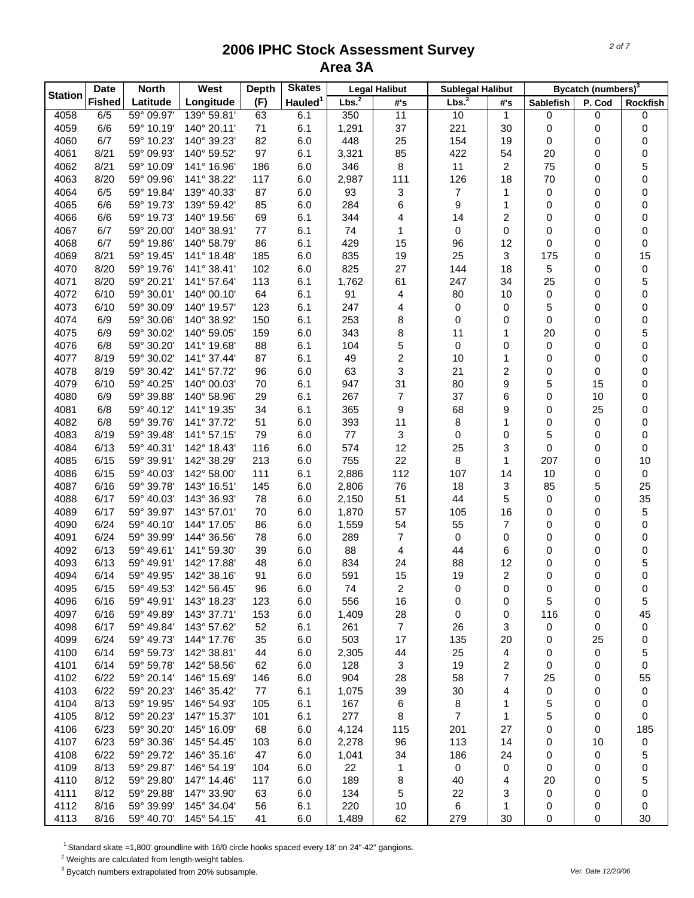|                | <b>Date</b>   | <b>North</b> | West        | <b>Depth</b> | <b>Skates</b>       |                   | <b>Legal Halibut</b> | <b>Sublegal Halibut</b> |                         |                  | Bycatch (numbers) <sup>3</sup> |          |
|----------------|---------------|--------------|-------------|--------------|---------------------|-------------------|----------------------|-------------------------|-------------------------|------------------|--------------------------------|----------|
| <b>Station</b> | <b>Fished</b> | Latitude     | Longitude   | (F)          | Hauled <sup>1</sup> | Lbs. <sup>2</sup> | #'s                  | Lbs. <sup>2</sup>       | #'s                     | <b>Sablefish</b> | P. Cod                         | Rockfish |
| 4058           | 6/5           | 59° 09.97'   | 139° 59.81' | 63           | 6.1                 | 350               | 11                   | 10                      | 1                       | 0                | 0                              | 0        |
| 4059           | 6/6           | 59° 10.19'   | 140° 20.11' | 71           | 6.1                 | 1,291             | 37                   | 221                     | 30                      | 0                | 0                              | 0        |
| 4060           | 6/7           | 59° 10.23'   | 140° 39.23' | 82           | 6.0                 | 448               | 25                   | 154                     | 19                      | 0                | 0                              | 0        |
| 4061           | 8/21          | 59° 09.93'   | 140° 59.52' | 97           | 6.1                 | 3,321             | 85                   | 422                     | 54                      | 20               | 0                              | 0        |
| 4062           | 8/21          | 59° 10.09'   | 141° 16.96' | 186          | 6.0                 | 346               | 8                    | 11                      | 2                       | 75               | 0                              | 5        |
| 4063           | 8/20          | 59° 09.96'   | 141° 38.22' | 117          | 6.0                 | 2,987             | 111                  | 126                     | 18                      | 70               | 0                              | 0        |
| 4064           | 6/5           | 59° 19.84'   | 139° 40.33' | 87           | 6.0                 | 93                | 3                    | $\overline{7}$          | 1                       | 0                | 0                              | 0        |
| 4065           | 6/6           | 59° 19.73'   | 139° 59.42' | 85           | 6.0                 | 284               | 6                    | 9                       | 1                       | 0                | 0                              | 0        |
| 4066           | 6/6           | 59° 19.73'   | 140° 19.56' | 69           | 6.1                 | 344               | 4                    | 14                      | 2                       | 0                | 0                              | 0        |
| 4067           | 6/7           | 59° 20.00'   | 140° 38.91' | 77           | 6.1                 | 74                | 1                    | 0                       | 0                       | 0                | 0                              | 0        |
| 4068           | 6/7           | 59° 19.86'   | 140° 58.79' | 86           | 6.1                 | 429               | 15                   | 96                      | 12                      | 0                | 0                              | 0        |
| 4069           | 8/21          | 59° 19.45'   | 141° 18.48' | 185          | 6.0                 | 835               | 19                   | 25                      | 3                       | 175              | 0                              | 15       |
| 4070           | 8/20          | 59° 19.76'   | 141° 38.41' | 102          | 6.0                 | 825               | 27                   | 144                     | 18                      | 5                | 0                              | 0        |
| 4071           | 8/20          | 59° 20.21'   | 141° 57.64' | 113          | 6.1                 | 1,762             | 61                   | 247                     | 34                      | 25               | 0                              | 5        |
| 4072           | 6/10          | 59° 30.01'   | 140° 00.10' | 64           | 6.1                 | 91                | 4                    | 80                      | 10                      | 0                | 0                              | 0        |
| 4073           | 6/10          | 59° 30.09'   | 140° 19.57' | 123          | 6.1                 | 247               | 4                    | 0                       | 0                       | 5                | 0                              | 0        |
| 4074           | 6/9           | 59° 30.06'   | 140° 38.92' | 150          | 6.1                 | 253               | 8                    | 0                       | 0                       | 0                | 0                              | 0        |
| 4075           | 6/9           | 59° 30.02'   | 140° 59.05' | 159          | 6.0                 | 343               | 8                    | 11                      | 1                       | 20               | 0                              | 5        |
| 4076           | 6/8           | 59° 30.20'   | 141° 19.68' | 88           | 6.1                 | 104               | 5                    | 0                       | 0                       | 0                | 0                              | 0        |
| 4077           | 8/19          | 59° 30.02'   | 141° 37.44' | 87           | 6.1                 | 49                | 2                    | 10                      | 1                       | 0                | 0                              | 0        |
| 4078           | 8/19          | 59° 30.42'   | 141° 57.72' | 96           | 6.0                 | 63                | 3                    | 21                      | 2                       | 0                | 0                              | 0        |
| 4079           | 6/10          | 59° 40.25'   | 140° 00.03' | 70           | 6.1                 | 947               | 31                   | 80                      | 9                       | 5                | 15                             | 0        |
| 4080           | 6/9           | 59° 39.88'   | 140° 58.96' | 29           | 6.1                 | 267               | 7                    | 37                      | 6                       | 0                | 10                             | 0        |
| 4081           | 6/8           | 59° 40.12'   | 141° 19.35' | 34           | 6.1                 | 365               | 9                    | 68                      | 9                       | 0                | 25                             | 0        |
| 4082           | 6/8           | 59° 39.76'   | 141° 37.72' | 51           | 6.0                 | 393               | 11                   | 8                       | 1                       | 0                | 0                              | 0        |
| 4083           | 8/19          | 59° 39.48'   | 141° 57.15' | 79           | 6.0                 | 77                | 3                    | 0                       | 0                       | 5                | 0                              | 0        |
| 4084           | 6/13          | 59° 40.31'   | 142° 18.43' | 116          | 6.0                 | 574               | 12                   | 25                      | 3                       | 0                | 0                              | 0        |
| 4085           | 6/15          | 59° 39.91'   | 142° 38.29' | 213          | 6.0                 | 755               | 22                   | 8                       | 1                       | 207              | 0                              | 10       |
| 4086           | 6/15          | 59° 40.03'   | 142° 58.00' | 111          | 6.1                 | 2,886             | 112                  | 107                     | 14                      | 10               | 0                              | 0        |
| 4087           | 6/16          | 59° 39.78'   | 143° 16.51' | 145          | 6.0                 | 2,806             | 76                   | 18                      | 3                       | 85               | 5                              | 25       |
| 4088           | 6/17          | 59° 40.03'   | 143° 36.93' | 78           | 6.0                 | 2,150             | 51                   | 44                      | 5                       | 0                | 0                              | 35       |
| 4089           | 6/17          | 59° 39.97'   | 143° 57.01' | 70           | 6.0                 | 1,870             | 57                   | 105                     | 16                      | 0                | 0                              | 5        |
| 4090           | 6/24          | 59° 40.10'   | 144° 17.05' | 86           | 6.0                 | 1,559             | 54                   | 55                      | 7                       | 0                | 0                              | 0        |
| 4091           | 6/24          | 59° 39.99'   | 144° 36.56' | 78           | 6.0                 | 289               | 7                    | 0                       | 0                       | 0                | 0                              | 0        |
| 4092           | 6/13          | 59° 49.61'   | 141° 59.30' | 39           | 6.0                 | 88                | 4                    | 44                      | 6                       | 0                | 0                              | 0        |
| 4093           | 6/13          | 59° 49.91'   | 142° 17.88' | 48           | 6.0                 | 834               | 24                   | 88                      | 12                      | 0                | 0                              | 5        |
| 4094           | 6/14          | 59° 49.95'   | 142° 38.16' | 91           | 6.0                 | 591               | 15                   | 19                      | $\overline{\mathbf{c}}$ | 0                | 0                              | 0        |
| 4095           | 6/15          | 59° 49.53'   | 142° 56.45' | 96           | 6.0                 | 74                | 2                    | 0                       | 0                       | 0                | 0                              | 0        |
| 4096           | 6/16          | 59° 49.91'   | 143° 18.23' | 123          | 6.0                 | 556               | 16                   | 0                       | 0                       | 5                | 0                              | 5        |
| 4097           | 6/16          | 59° 49.89'   | 143° 37.71' | 153          | 6.0                 | 1,409             | 28                   | 0                       | 0                       | 116              | 0                              | 45       |
| 4098           | 6/17          | 59° 49.84'   | 143° 57.62' | 52           | 6.1                 | 261               | $\overline{7}$       | 26                      | 3                       | 0                | 0                              | 0        |
| 4099           | 6/24          | 59° 49.73'   | 144° 17.76' | 35           | 6.0                 | 503               | 17                   | 135                     | 20                      | 0                | 25                             | 0        |
| 4100           | 6/14          | 59° 59.73'   | 142° 38.81' | 44           | 6.0                 | 2,305             | 44                   | 25                      | 4                       | 0                | 0                              | 5        |
| 4101           | 6/14          | 59° 59.78'   | 142° 58.56' | 62           | 6.0                 | 128               | 3                    | 19                      | $\overline{\mathbf{c}}$ | 0                | 0                              | 0        |
| 4102           | 6/22          | 59° 20.14'   | 146° 15.69' | 146          | 6.0                 | 904               | 28                   | 58                      | 7                       | 25               | 0                              | 55       |
| 4103           | 6/22          | 59° 20.23'   | 146° 35.42' | 77           | 6.1                 | 1,075             | 39                   | 30                      | 4                       | 0                | 0                              | 0        |
| 4104           | 8/13          | 59° 19.95'   | 146° 54.93' | 105          | 6.1                 | 167               | 6                    | 8                       | 1                       | 5                | 0                              | 0        |
| 4105           | 8/12          | 59° 20.23'   | 147° 15.37' | 101          | 6.1                 | 277               | 8                    | $\overline{7}$          | 1                       | 5                | 0                              | 0        |
| 4106           | 6/23          | 59° 30.20'   | 145° 16.09' | 68           | 6.0                 | 4,124             | 115                  | 201                     | 27                      | 0                | 0                              | 185      |
| 4107           | 6/23          | 59° 30.36'   | 145° 54.45' | 103          | 6.0                 | 2,278             | 96                   | 113                     | 14                      | 0                | 10                             | 0        |
| 4108           | 6/22          | 59° 29.72'   | 146° 35.16' | 47           | 6.0                 | 1,041             | 34                   | 186                     | 24                      | 0                | 0                              | 5        |
| 4109           | 8/13          | 59° 29.87'   | 146° 54.19' | 104          | 6.0                 | 22                | 1                    | $\pmb{0}$               | 0                       | 0                | 0                              | 0        |
| 4110           | 8/12          | 59° 29.80'   | 147° 14.46' | 117          | 6.0                 | 189               | 8                    | 40                      | 4                       | 20               | 0                              | 5        |
| 4111           | 8/12          | 59° 29.88'   | 147° 33.90' | 63           | 6.0                 | 134               | 5                    | 22                      | 3                       | 0                | 0                              | 0        |
| 4112           | 8/16          | 59° 39.99'   | 145° 34.04' | 56           | 6.1                 | 220               | 10                   | 6                       | 1                       | 0                | 0                              | 0        |
| 4113           | 8/16          | 59° 40.70'   | 145° 54.15' | 41           | 6.0                 | 1,489             | 62                   | 279                     | 30                      | 0                | 0                              | 30       |

<sup>1</sup> Standard skate =1,800' groundline with 16/0 circle hooks spaced every 18' on 24"-42" gangions.

 $2$  Weights are calculated from length-weight tables.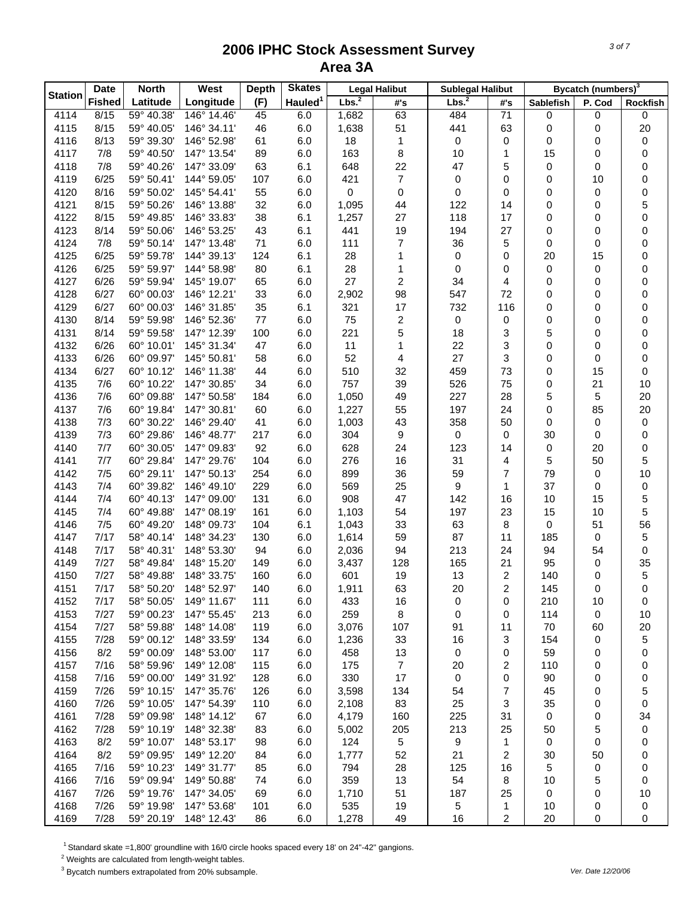|                | <b>Date</b>   | <b>North</b>             | West                       | <b>Depth</b> | <b>Skates</b>       |                   | <b>Legal Halibut</b> | <b>Sublegal Halibut</b> |                         |             | Bycatch (numbers) <sup>3</sup> |                 |
|----------------|---------------|--------------------------|----------------------------|--------------|---------------------|-------------------|----------------------|-------------------------|-------------------------|-------------|--------------------------------|-----------------|
| <b>Station</b> | <b>Fished</b> | Latitude                 | Longitude                  | (F)          | Hauled <sup>1</sup> | Lbs. <sup>2</sup> | #'s                  | Lbs. <sup>2</sup>       | #'s                     | Sablefish   | P. Cod                         | <b>Rockfish</b> |
| 4114           | 8/15          | 59° 40.38'               | 146° 14.46'                | 45           | 6.0                 | 1,682             | 63                   | 484                     | 71                      | 0           | 0                              | 0               |
| 4115           | 8/15          | 59° 40.05'               | 146° 34.11'                | 46           | 6.0                 | 1,638             | 51                   | 441                     | 63                      | 0           | 0                              | 20              |
| 4116           | 8/13          | 59° 39.30'               | 146° 52.98'                | 61           | 6.0                 | 18                | 1                    | $\pmb{0}$               | 0                       | 0           | 0                              | 0               |
| 4117           | 7/8           | 59° 40.50'               | 147° 13.54'                | 89           | 6.0                 | 163               | 8                    | 10                      | 1                       | 15          | 0                              | 0               |
| 4118           | 7/8           | 59° 40.26'               | 147° 33.09'                | 63           | 6.1                 | 648               | 22                   | 47                      | 5                       | 0           | 0                              | 0               |
| 4119           | 6/25          | 59° 50.41'               | 144° 59.05'                | 107          | 6.0                 | 421               | $\overline{7}$       | 0                       | 0                       | 0           | 10                             | 0               |
| 4120           | 8/16          | 59° 50.02'               | 145° 54.41'                | 55           | 6.0                 | 0                 | 0                    | 0                       | 0                       | 0           | 0                              | 0               |
| 4121           | 8/15          | 59° 50.26'               | 146° 13.88'                | 32           | 6.0                 | 1,095             | 44                   | 122                     | 14                      | 0           | 0                              | 5               |
| 4122           | 8/15          | 59° 49.85'               | 146° 33.83'                | 38           | 6.1                 | 1,257             | 27                   | 118                     | 17                      | 0           | 0                              | 0               |
| 4123           | 8/14          | 59° 50.06'               | 146° 53.25'                | 43           | 6.1                 | 441               | 19                   | 194                     | 27                      | 0           | 0                              | 0               |
| 4124           | 7/8           | 59° 50.14'               | 147° 13.48'                | 71           | 6.0                 | 111               | 7                    | 36                      | 5                       | 0           | 0                              | 0               |
| 4125           | 6/25          | 59° 59.78'               | 144° 39.13'                | 124          | 6.1                 | 28                | 1                    | $\pmb{0}$               | 0                       | 20          | 15                             | 0               |
| 4126           | 6/25          | 59° 59.97'               | 144° 58.98'                | 80           | 6.1                 | 28                | 1                    | 0                       | 0                       | 0           | 0                              | 0               |
| 4127           | 6/26          | 59° 59.94'               | 145° 19.07'                | 65           | 6.0                 | 27                | 2                    | 34                      | 4                       | 0           | 0                              | 0               |
| 4128           | 6/27          | 60° 00.03'               | 146° 12.21'                | 33           | 6.0                 | 2,902             | 98                   | 547                     | 72                      | 0           | 0                              | 0               |
| 4129           | 6/27          | 60° 00.03'               | 146° 31.85'                | 35           | 6.1                 | 321               | 17                   | 732                     | 116                     | 0           | 0                              | 0               |
| 4130           | 8/14          | 59° 59.98'               | 146° 52.36'<br>147° 12.39' | 77           | 6.0                 | 75                | 2                    | $\pmb{0}$               | 0                       | 0           | 0                              | 0               |
| 4131           | 8/14          | 59° 59.58'               |                            | 100          | 6.0                 | 221               | 5<br>1               | 18                      | 3                       | 5           | 0                              | 0               |
| 4132<br>4133   | 6/26<br>6/26  | 60° 10.01'<br>60° 09.97' | 145° 31.34'<br>145° 50.81' | 47<br>58     | 6.0<br>6.0          | 11<br>52          | 4                    | 22<br>27                | 3<br>3                  | 0<br>0      | 0<br>0                         | 0               |
| 4134           | 6/27          | 60° 10.12'               | 146° 11.38'                | 44           | 6.0                 | 510               | 32                   | 459                     | 73                      | 0           | 15                             | 0<br>0          |
| 4135           | 7/6           | 60° 10.22'               | 147° 30.85'                | 34           | 6.0                 | 757               | 39                   | 526                     | 75                      | $\mathbf 0$ | 21                             | 10              |
| 4136           | 7/6           | 60° 09.88'               | 147° 50.58'                | 184          | 6.0                 | 1,050             | 49                   | 227                     | 28                      | 5           | 5                              | 20              |
| 4137           | 7/6           | 60° 19.84'               | 147° 30.81'                | 60           | 6.0                 | 1,227             | 55                   | 197                     | 24                      | 0           | 85                             | 20              |
| 4138           | 7/3           | 60° 30.22'               | 146° 29.40'                | 41           | 6.0                 | 1,003             | 43                   | 358                     | 50                      | 0           | 0                              | 0               |
| 4139           | 7/3           | 60° 29.86'               | 146° 48.77'                | 217          | 6.0                 | 304               | 9                    | $\pmb{0}$               | 0                       | 30          | 0                              | 0               |
| 4140           | 7/7           | 60° 30.05                | 147° 09.83'                | 92           | 6.0                 | 628               | 24                   | 123                     | 14                      | 0           | 20                             | 0               |
| 4141           | 7/7           | 60° 29.84'               | 147° 29.76'                | 104          | 6.0                 | 276               | 16                   | 31                      | 4                       | 5           | 50                             | 5               |
| 4142           | 7/5           | 60° 29.11'               | 147° 50.13'                | 254          | 6.0                 | 899               | 36                   | 59                      | $\overline{7}$          | 79          | 0                              | 10              |
| 4143           | 7/4           | 60° 39.82'               | 146° 49.10'                | 229          | 6.0                 | 569               | 25                   | 9                       | 1                       | 37          | 0                              | 0               |
| 4144           | 7/4           | 60° 40.13'               | 147° 09.00'                | 131          | 6.0                 | 908               | 47                   | 142                     | 16                      | 10          | 15                             | 5               |
| 4145           | 7/4           | 60° 49.88'               | 147° 08.19'                | 161          | 6.0                 | 1,103             | 54                   | 197                     | 23                      | 15          | 10                             | 5               |
| 4146           | 7/5           | 60° 49.20'               | 148° 09.73'                | 104          | 6.1                 | 1,043             | 33                   | 63                      | 8                       | 0           | 51                             | 56              |
| 4147           | 7/17          | 58° 40.14'               | 148° 34.23'                | 130          | 6.0                 | 1,614             | 59                   | 87                      | 11                      | 185         | 0                              | 5               |
| 4148           | 7/17          | 58° 40.31'               | 148° 53.30'                | 94           | 6.0                 | 2,036             | 94                   | 213                     | 24                      | 94          | 54                             | 0               |
| 4149           | 7/27          | 58° 49.84'               | 148° 15.20'                | 149          | 6.0                 | 3,437             | 128                  | 165                     | 21                      | 95          | 0                              | 35              |
| 4150           | 7/27          | 58° 49.88'               | 148° 33.75'                | 160          | 6.0                 | 601               | 19                   | 13                      | 2                       | 140         | 0                              | 5               |
| 4151           | 7/17          | 58° 50.20'               | 148° 52.97'                | 140          | $6.0\,$             | 1,911             | 63                   | 20                      | $\overline{c}$          | 145         | 0                              | 0               |
| 4152           | 7/17          | 58° 50.05'               | 149° 11.67'                | 111          | 6.0                 | 433               | 16                   | 0                       | 0                       | 210         | 10                             | 0               |
| 4153           | 7/27          | 59° 00.23'               | 147° 55.45'                | 213          | 6.0                 | 259               | 8                    | 0                       | 0                       | 114         | 0                              | 10              |
| 4154           | 7/27          | 58° 59.88'               | 148° 14.08'                | 119          | 6.0                 | 3,076             | 107                  | 91                      | 11                      | 70          | 60                             | 20              |
| 4155           | 7/28          | 59° 00.12'               | 148° 33.59'                | 134          | 6.0                 | 1,236             | 33                   | 16                      | 3                       | 154         | 0                              | 5               |
| 4156           | 8/2           | 59° 00.09'               | 148° 53.00'                | 117          | 6.0                 | 458               | 13                   | 0                       | 0                       | 59          | 0                              | 0               |
| 4157           | 7/16          | 58° 59.96'               | 149° 12.08'                | 115          | 6.0                 | 175               | $\overline{7}$       | 20                      | 2                       | 110         | 0                              | 0               |
| 4158           | 7/16          | 59° 00.00'               | 149° 31.92'                | 128          | 6.0                 | 330               | 17                   | 0                       | 0                       | 90          | 0                              | 0               |
| 4159           | 7/26          | 59° 10.15'               | 147° 35.76'                | 126          | 6.0                 | 3,598             | 134                  | 54                      | 7                       | 45          | 0                              | 5               |
| 4160           | 7/26          | 59° 10.05'               | 147° 54.39'                | 110          | 6.0                 | 2,108             | 83                   | 25                      | 3                       | 35          | 0                              | 0               |
| 4161           | 7/28          | 59° 09.98'               | 148° 14.12'                | 67           | 6.0                 | 4,179             | 160                  | 225                     | 31                      | 0           | 0                              | 34              |
| 4162           | 7/28          | 59° 10.19'               | 148° 32.38'                | 83           | 6.0                 | 5,002             | 205                  | 213                     | 25                      | 50          | 5                              | 0               |
| 4163           | 8/2           | 59° 10.07'               | 148° 53.17'                | 98           | 6.0                 | 124               | 5                    | 9                       | 1                       | 0           | 0                              | 0               |
| 4164           | 8/2           | 59° 09.95'               | 149° 12.20'                | 84           | 6.0                 | 1,777             | 52                   | 21                      | 2                       | 30          | 50                             | 0               |
| 4165           | 7/16          | 59° 10.23'               | 149° 31.77'                | 85           | 6.0                 | 794               | 28                   | 125                     | 16                      | 5           | 0                              | 0               |
| 4166           | 7/16          | 59° 09.94'               | 149° 50.88'                | 74           | 6.0                 | 359               | 13                   | 54                      | 8                       | 10          | 5                              | 0               |
| 4167           | 7/26          | 59° 19.76'               | 147° 34.05'                | 69           | 6.0                 | 1,710             | 51                   | 187                     | 25                      | 0           | 0                              | 10              |
| 4168           | 7/26          | 59° 19.98'               | 147° 53.68'                | 101          | 6.0                 | 535               | 19                   | 5                       | 1                       | 10          | 0                              | 0               |
| 4169           | 7/28          | 59° 20.19'               | 148° 12.43'                | 86           | 6.0                 | 1,278             | 49                   | 16                      | $\overline{\mathbf{c}}$ | 20          | 0                              | 0               |

<sup>1</sup> Standard skate =1,800' groundline with 16/0 circle hooks spaced every 18' on 24"-42" gangions.

 $2$  Weights are calculated from length-weight tables.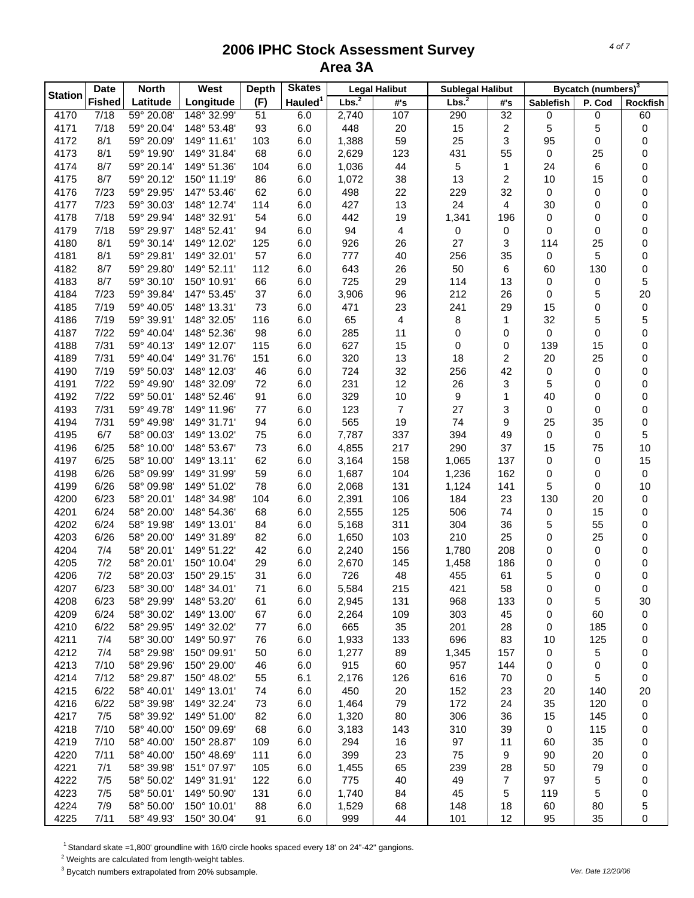|                | <b>Date</b>   | <b>North</b> | West        | <b>Depth</b> | <b>Skates</b>       |                   | <b>Legal Halibut</b> | <b>Sublegal Halibut</b> |                |                  | Bycatch (numbers) <sup>3</sup> |          |
|----------------|---------------|--------------|-------------|--------------|---------------------|-------------------|----------------------|-------------------------|----------------|------------------|--------------------------------|----------|
| <b>Station</b> | <b>Fished</b> | Latitude     | Longitude   | (F)          | Hauled <sup>1</sup> | Lbs. <sup>2</sup> | #'s                  | Lbs. <sup>2</sup>       | #'s            | <b>Sablefish</b> | P. Cod                         | Rockfish |
| 4170           | 7/18          | 59° 20.08'   | 148° 32.99' | 51           | 6.0                 | 2,740             | 107                  | 290                     | 32             | 0                | 0                              | 60       |
| 4171           | 7/18          | 59° 20.04'   | 148° 53.48' | 93           | 6.0                 | 448               | 20                   | 15                      | $\overline{c}$ | 5                | 5                              | 0        |
| 4172           | 8/1           | 59° 20.09'   | 149° 11.61' | 103          | 6.0                 | 1,388             | 59                   | 25                      | 3              | 95               | 0                              | 0        |
| 4173           | 8/1           | 59° 19.90'   | 149° 31.84' | 68           | 6.0                 | 2,629             | 123                  | 431                     | 55             | 0                | 25                             | 0        |
| 4174           | 8/7           | 59° 20.14'   | 149° 51.36' | 104          | 6.0                 | 1,036             | 44                   | $\sqrt{5}$              | $\mathbf{1}$   | 24               | 6                              | 0        |
| 4175           | 8/7           | 59° 20.12'   | 150° 11.19' | 86           | 6.0                 | 1,072             | 38                   | 13                      | 2              | 10               | 15                             | 0        |
| 4176           | 7/23          | 59° 29.95'   | 147° 53.46' | 62           | 6.0                 | 498               | 22                   | 229                     | 32             | 0                | 0                              | 0        |
| 4177           | 7/23          | 59° 30.03'   | 148° 12.74' | 114          | 6.0                 | 427               | 13                   | 24                      | 4              | 30               | 0                              | 0        |
| 4178           | 7/18          | 59° 29.94'   | 148° 32.91' | 54           | 6.0                 | 442               | 19                   | 1,341                   | 196            | 0                | 0                              | 0        |
| 4179           | 7/18          | 59° 29.97'   | 148° 52.41' | 94           | 6.0                 | 94                | 4                    | 0                       | 0              | 0                | 0                              | 0        |
| 4180           | 8/1           | 59° 30.14'   | 149° 12.02' | 125          | 6.0                 | 926               | 26                   | 27                      | 3              | 114              | 25                             | 0        |
| 4181           | 8/1           | 59° 29.81'   | 149° 32.01' | 57           | 6.0                 | 777               | 40                   | 256                     | 35             | 0                | 5                              | 0        |
| 4182           | 8/7           | 59° 29.80'   | 149° 52.11' | 112          | 6.0                 | 643               | 26                   | 50                      | 6              | 60               | 130                            | 0        |
| 4183           | 8/7           | 59° 30.10'   | 150° 10.91' | 66           | 6.0                 | 725               | 29                   | 114                     | 13             | 0                | 0                              | 5        |
| 4184           | 7/23          | 59° 39.84'   | 147° 53.45' | 37           | 6.0                 | 3,906             | 96                   | 212                     | 26             | 0                | 5                              | 20       |
| 4185           | 7/19          | 59° 40.05'   | 148° 13.31' | 73           | 6.0                 | 471               | 23                   | 241                     | 29             | 15               | 0                              | 0        |
| 4186           | 7/19          | 59° 39.91'   | 148° 32.05' | 116          | 6.0                 | 65                | 4                    | 8                       | $\mathbf{1}$   | 32               | 5                              | 5        |
| 4187           | 7/22          | 59° 40.04'   | 148° 52.36' | 98           | 6.0                 | 285               | 11                   | 0                       | 0              | 0                | 0                              | 0        |
| 4188           | 7/31          | 59° 40.13'   | 149° 12.07' | 115          | 6.0                 | 627               | 15                   | 0                       | 0              | 139              | 15                             | 0        |
| 4189           | 7/31          | 59° 40.04'   | 149° 31.76' | 151          | 6.0                 | 320               | 13                   | 18                      | $\overline{c}$ | 20               | 25                             | 0        |
| 4190           | 7/19          | 59° 50.03'   | 148° 12.03' | 46           | 6.0                 | 724               | 32                   | 256                     | 42             | 0                | 0                              | 0        |
| 4191           | 7/22          | 59° 49.90'   | 148° 32.09' | 72           | 6.0                 | 231               | 12                   | 26                      | 3              | 5                | 0                              | 0        |
| 4192           | 7/22          | 59° 50.01'   | 148° 52.46' | 91           | 6.0                 | 329               | 10                   | 9                       | 1              | 40               | 0                              | 0        |
| 4193           | 7/31          | 59° 49.78'   | 149° 11.96' | 77           | 6.0                 | 123               | $\overline{7}$       | 27                      | 3              | 0                | 0                              | 0        |
| 4194           | 7/31          | 59° 49.98'   | 149° 31.71' | 94           | 6.0                 | 565               | 19                   | 74                      | 9              | 25               | 35                             | 0        |
| 4195           | 6/7           | 58° 00.03'   | 149° 13.02' | 75           | 6.0                 | 7,787             | 337                  | 394                     | 49             | 0                | 0                              | 5        |
| 4196           | 6/25          | 58° 10.00'   | 148° 53.67' | 73           | 6.0                 | 4,855             | 217                  | 290                     | 37             | 15               | 75                             | 10       |
| 4197           | 6/25          | 58° 10.00'   | 149° 13.11' | 62           | 6.0                 | 3,164             | 158                  | 1,065                   | 137            | 0                | 0                              | 15       |
| 4198           | 6/26          | 58° 09.99'   | 149° 31.99' | 59           | 6.0                 | 1,687             | 104                  | 1,236                   | 162            | 0                | 0                              | 0        |
| 4199           | 6/26          | 58° 09.98'   | 149° 51.02' | 78           | 6.0                 | 2,068             | 131                  | 1,124                   | 141            | 5                | 0                              | 10       |
| 4200           | 6/23          | 58° 20.01'   | 148° 34.98' | 104          | 6.0                 | 2,391             | 106                  | 184                     | 23             | 130              | 20                             | 0        |
| 4201           | 6/24          | 58° 20.00'   | 148° 54.36' | 68           | 6.0                 | 2,555             | 125                  | 506                     | 74             | 0                | 15                             | 0        |
| 4202           | 6/24          | 58° 19.98'   | 149° 13.01' | 84           | 6.0                 | 5,168             | 311                  | 304                     | 36             | 5                | 55                             | 0        |
| 4203           | 6/26          | 58° 20.00'   | 149° 31.89' | 82           | 6.0                 | 1,650             | 103                  | 210                     | 25             | 0                | 25                             | 0        |
| 4204           | 7/4           | 58° 20.01'   | 149° 51.22' | 42           | 6.0                 | 2,240             | 156                  | 1,780                   | 208            | 0                | 0                              | 0        |
| 4205           | 7/2           | 58° 20.01'   | 150° 10.04' | 29           | 6.0                 | 2,670             | 145                  | 1,458                   | 186            | 0                | 0                              | 0        |
| 4206           | 7/2           | 58° 20.03'   | 150° 29.15' | 31           | 6.0                 | 726               | 48                   | 455                     | 61             | 5                | 0                              | 0        |
| 4207           | 6/23          | 58° 30.00'   | 148° 34.01' | 71           | 6.0                 | 5,584             | 215                  | 421                     | 58             | 0                | 0                              | 0        |
| 4208           | 6/23          | 58° 29.99'   | 148° 53.20' | 61           | 6.0                 | 2,945             | 131                  | 968                     | 133            | 0                | 5                              | 30       |
| 4209           | 6/24          | 58° 30.02'   | 149° 13.00' | 67           | 6.0                 | 2,264             | 109                  | 303                     | 45             | 0                | 60                             | 0        |
| 4210           | 6/22          | 58° 29.95'   | 149° 32.02' | 77           | 6.0                 | 665               | 35                   | 201                     | 28             | 0                | 185                            | 0        |
| 4211           | 7/4           | 58° 30.00'   | 149° 50.97' | 76           | 6.0                 | 1,933             | 133                  | 696                     | 83             | 10               | 125                            | 0        |
| 4212           | 7/4           | 58° 29.98'   | 150° 09.91' | 50           | 6.0                 | 1,277             | 89                   | 1,345                   | 157            | 0                | 5                              | 0        |
| 4213           | 7/10          | 58° 29.96'   | 150° 29.00' | 46           | 6.0                 | 915               | 60                   | 957                     | 144            | 0                | 0                              | 0        |
| 4214           | 7/12          | 58° 29.87'   | 150° 48.02' | 55           | 6.1                 | 2,176             | 126                  | 616                     | 70             | 0                | 5                              | 0        |
| 4215           | 6/22          | 58° 40.01'   | 149° 13.01' | 74           | 6.0                 | 450               | 20                   | 152                     | 23             | 20               | 140                            | 20       |
| 4216           | 6/22          | 58° 39.98'   | 149° 32.24' | 73           | 6.0                 | 1,464             | 79                   | 172                     | 24             | 35               | 120                            | 0        |
| 4217           | 7/5           | 58° 39.92'   | 149° 51.00' | 82           | 6.0                 | 1,320             | 80                   | 306                     | 36             | 15               | 145                            | 0        |
| 4218           | 7/10          | 58° 40.00'   | 150° 09.69' | 68           | 6.0                 | 3,183             | 143                  | 310                     | 39             | 0                | 115                            | 0        |
| 4219           | 7/10          | 58° 40.00'   | 150° 28.87' | 109          | 6.0                 | 294               | 16                   | 97                      | 11             | 60               | 35                             | 0        |
| 4220           | 7/11          | 58° 40.00'   | 150° 48.69' | 111          | 6.0                 | 399               | 23                   | 75                      | 9              | 90               | 20                             | 0        |
| 4221           | 7/1           | 58° 39.98'   | 151° 07.97' | 105          | 6.0                 | 1,455             | 65                   | 239                     | 28             | 50               | 79                             | 0        |
| 4222           | 7/5           | 58° 50.02'   | 149° 31.91' | 122          | 6.0                 | 775               | 40                   | 49                      | $\overline{7}$ | 97               | 5                              | 0        |
| 4223           | 7/5           | 58° 50.01'   | 149° 50.90' | 131          | 6.0                 | 1,740             | 84                   | 45                      | 5              | 119              | 5                              | 0        |
| 4224           | 7/9           | 58° 50.00'   | 150° 10.01' | 88           | 6.0                 | 1,529             | 68                   | 148                     | 18             | 60               | 80                             | 5        |
| 4225           | 7/11          | 58° 49.93'   | 150° 30.04' | 91           | 6.0                 | 999               | 44                   | 101                     | 12             | 95               | 35                             | 0        |

<sup>1</sup> Standard skate =1,800' groundline with 16/0 circle hooks spaced every 18' on 24"-42" gangions.

 $2$  Weights are calculated from length-weight tables.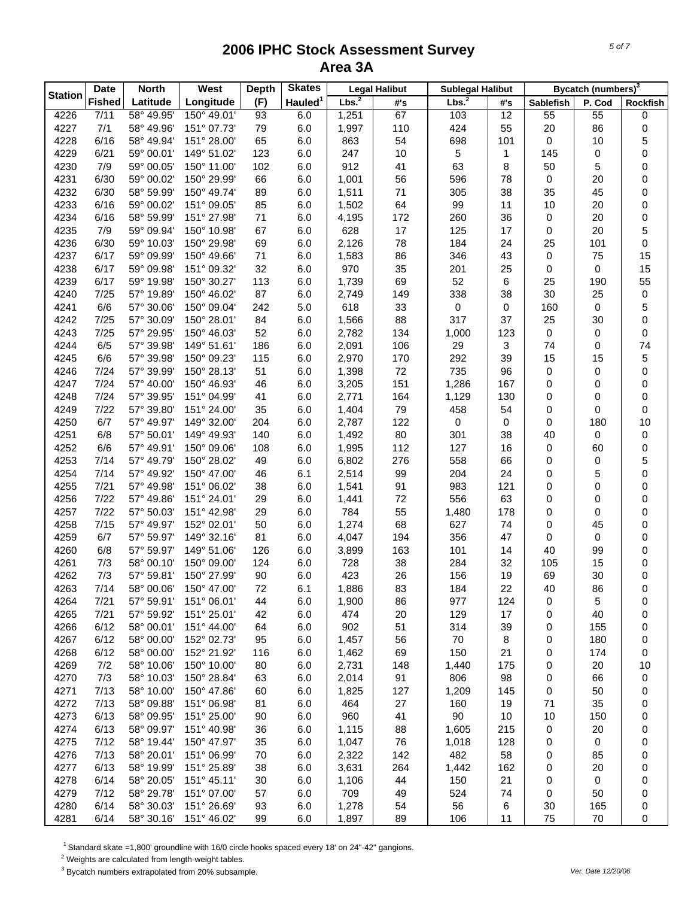| <b>Station</b> | <b>Date</b>   | <b>North</b>             | West                       | <b>Depth</b> | <b>Skates</b>       |                   | <b>Legal Halibut</b> | <b>Sublegal Halibut</b> |              |                  | Bycatch (numbers) <sup>3</sup> |          |
|----------------|---------------|--------------------------|----------------------------|--------------|---------------------|-------------------|----------------------|-------------------------|--------------|------------------|--------------------------------|----------|
|                | <b>Fished</b> | Latitude                 | Longitude                  | (F)          | Hauled <sup>1</sup> | Lbs. <sup>2</sup> | #'s                  | Lbs. <sup>2</sup>       | #'s          | <b>Sablefish</b> | P. Cod                         | Rockfish |
| 4226           | 7/11          | 58° 49.95'               | 150° 49.01'                | 93           | 6.0                 | 1,251             | 67                   | 103                     | 12           | 55               | 55                             | 0        |
| 4227           | 7/1           | 58° 49.96'               | 151° 07.73'                | 79           | 6.0                 | 1,997             | 110                  | 424                     | 55           | 20               | 86                             | 0        |
| 4228           | 6/16          | 58° 49.94'               | 151° 28.00'                | 65           | 6.0                 | 863               | 54                   | 698                     | 101          | $\pmb{0}$        | 10                             | 5        |
| 4229           | 6/21          | 59° 00.01'               | 149° 51.02'                | 123          | 6.0                 | 247               | 10                   | $\sqrt{5}$              | $\mathbf{1}$ | 145              | 0                              | 0        |
| 4230           | 7/9           | 59° 00.05'               | 150° 11.00'                | 102          | 6.0                 | 912               | 41                   | 63                      | 8            | 50               | 5                              | 0        |
| 4231           | 6/30          | 59° 00.02'               | 150° 29.99'                | 66           | 6.0                 | 1,001             | 56                   | 596                     | 78           | 0                | 20                             | 0        |
| 4232           | 6/30          | 58° 59.99'               | 150° 49.74'                | 89           | 6.0                 | 1,511             | 71                   | 305                     | 38           | 35               | 45                             | 0        |
| 4233           | 6/16          | 59° 00.02'               | 151° 09.05'                | 85           | 6.0                 | 1,502             | 64                   | 99                      | 11           | 10               | 20                             | 0        |
| 4234           | 6/16          | 58° 59.99'               | 151° 27.98'                | 71           | 6.0                 | 4,195             | 172                  | 260                     | 36           | 0                | 20                             | 0        |
| 4235           | 7/9           | 59° 09.94'               | 150° 10.98'                | 67           | 6.0                 | 628               | 17                   | 125                     | 17           | 0                | 20                             | 5        |
| 4236           | 6/30          | 59° 10.03'               | 150° 29.98'                | 69           | 6.0                 | 2,126             | 78                   | 184                     | 24           | 25               | 101                            | 0        |
| 4237           | 6/17          | 59° 09.99'               | 150° 49.66'                | 71           | 6.0                 | 1,583             | 86                   | 346                     | 43           | 0                | 75                             | 15       |
| 4238           | 6/17          | 59° 09.98'               | 151° 09.32'                | 32           | 6.0                 | 970               | 35                   | 201                     | 25           | 0                | 0                              | 15       |
| 4239           | 6/17          | 59° 19.98'               | 150° 30.27'                | 113          | 6.0                 | 1,739             | 69                   | 52                      | 6            | 25               | 190                            | 55       |
| 4240           | 7/25          | 57° 19.89'               | 150° 46.02'                | 87           | 6.0                 | 2,749             | 149                  | 338                     | 38           | 30               | 25                             | 0        |
| 4241           | 6/6           | 57° 30.06'               | 150° 09.04'                | 242          | 5.0                 | 618               | 33                   | 0                       | 0            | 160              | 0                              | 5        |
| 4242           | 7/25          | 57° 30.09'               | 150° 28.01'                | 84           | 6.0                 | 1,566             | 88                   | 317                     | 37           | 25               | 30                             | 0        |
| 4243           | 7/25          | 57° 29.95'               | 150° 46.03'                | 52           | 6.0                 | 2,782             | 134                  | 1,000                   | 123          | 0                | 0                              | 0        |
| 4244           | 6/5           | 57° 39.98'               | 149° 51.61'                | 186          | 6.0                 | 2,091             | 106                  | 29                      | 3            | 74               | 0                              | 74       |
| 4245           | 6/6           | 57° 39.98'               | 150° 09.23'                | 115          | 6.0                 | 2,970             | 170                  | 292                     | 39           | 15               | 15                             | 5        |
| 4246           | 7/24          | 57° 39.99'               | 150° 28.13'                | 51           | 6.0                 | 1,398             | 72                   | 735                     | 96           | 0                | 0                              | 0        |
| 4247           | 7/24          | 57° 40.00                | 150° 46.93'                | 46           | 6.0                 | 3,205             | 151                  | 1,286                   | 167          | 0                | 0                              | 0        |
| 4248           | 7/24          | 57° 39.95'               | 151° 04.99'                | 41           | 6.0                 | 2,771             | 164                  | 1,129                   | 130          | 0                | 0                              | 0        |
| 4249           | 7/22          | 57° 39.80'               | 151° 24.00'                | 35           | 6.0                 | 1,404             | 79                   | 458                     | 54           | 0                | 0                              | 0        |
| 4250           | 6/7           | 57° 49.97'               | 149° 32.00'                | 204          | 6.0                 | 2,787             | 122                  | 0                       | 0            | 0                | 180                            | 10       |
| 4251           | 6/8           | 57° 50.01'               | 149° 49.93'                | 140          | 6.0                 | 1,492             | 80                   | 301                     | 38           | 40               | 0                              | 0        |
| 4252           | 6/6           | 57° 49.91'               | 150° 09.06'                | 108          | 6.0                 | 1,995             | 112                  | 127                     | 16           | 0                | 60                             | 0        |
| 4253           | 7/14          | 57° 49.79'               | 150° 28.02'                | 49           | 6.0                 | 6,802             | 276                  | 558                     | 66           | 0                | 0                              | 5        |
| 4254           | 7/14          | 57° 49.92'               | 150° 47.00'                | 46           | 6.1                 | 2,514             | 99                   | 204                     | 24           | 0                | 5                              | 0        |
| 4255           | 7/21          | 57° 49.98'               | 151° 06.02'                | 38           | 6.0                 | 1,541             | 91                   | 983                     | 121          | 0                | 0                              | 0        |
| 4256           | 7/22          | 57° 49.86'               | 151° 24.01'                | 29           | 6.0                 | 1,441             | 72                   | 556                     | 63           | 0                | 0                              | 0        |
| 4257           | 7/22          | 57° 50.03'               | 151° 42.98'                | 29           | 6.0                 | 784               | 55                   | 1,480                   | 178          | 0                | 0                              | 0        |
| 4258           | 7/15          | 57° 49.97'               | 152° 02.01'                | 50           | 6.0                 | 1,274             | 68                   | 627                     | 74           | 0                | 45                             | 0        |
| 4259           | 6/7           | 57° 59.97'               | 149° 32.16'                | 81           | 6.0                 | 4,047             | 194                  | 356                     | 47           | 0                | 0                              | 0        |
| 4260           | 6/8           | 57° 59.97'               | 149° 51.06'                | 126          | 6.0                 | 3,899             | 163                  | 101                     | 14           | 40               | 99                             | 0        |
| 4261           | 7/3           | 58° 00.10'               | 150° 09.00'                | 124          | 6.0                 | 728               | 38                   | 284                     | 32           | 105              | 15                             | 0        |
| 4262           | 7/3           | 57° 59.81'               | 150° 27.99'                | 90           | 6.0                 | 423               | 26                   | 156                     | 19           | 69               | 30                             | 0        |
| 4263           | 7/14          | 58° 00.06'               | 150° 47.00'                | 72           | 6.1                 | 1,886             | 83                   | 184                     | 22           | 40               | 86                             | 0        |
| 4264           | 7/21          | 57° 59.91'               | 151° 06.01'                | 44           | 6.0                 | 1,900             | 86                   | 977                     | 124          | 0                | 5                              | 0        |
| 4265           | 7/21          | 57° 59.92'               | 151° 25.01'<br>151° 44.00' | 42           | 6.0                 | 474               | 20                   | 129                     | 17           | 0                | 40                             | 0        |
| 4266           | 6/12<br>6/12  | 58° 00.01'<br>58° 00.00' |                            | 64           | 6.0<br>6.0          | 902<br>1,457      | 51                   | 314                     | 39           | 0<br>0           | 155<br>180                     | 0        |
| 4267<br>4268   | 6/12          | 58° 00.00'               | 152° 02.73'<br>152° 21.92' | 95<br>116    | 6.0                 | 1,462             | 56<br>69             | 70<br>150               | 8<br>21      | 0                | 174                            | 0<br>0   |
| 4269           | 7/2           | 58° 10.06'               | 150° 10.00'                | 80           | 6.0                 | 2,731             | 148                  | 1,440                   | 175          | 0                | 20                             | 10       |
| 4270           | 7/3           | 58° 10.03'               | 150° 28.84'                | 63           | 6.0                 | 2,014             | 91                   | 806                     | 98           | 0                | 66                             | 0        |
| 4271           | 7/13          | 58° 10.00'               | 150° 47.86'                | 60           | 6.0                 | 1,825             | 127                  | 1,209                   | 145          | 0                | 50                             | 0        |
| 4272           | 7/13          | 58° 09.88'               | 151° 06.98'                | 81           | 6.0                 | 464               | 27                   | 160                     | 19           | 71               | 35                             | 0        |
| 4273           | 6/13          | 58° 09.95'               | 151° 25.00'                | 90           | 6.0                 | 960               | 41                   | 90                      | 10           | 10               | 150                            |          |
| 4274           | 6/13          | 58° 09.97'               | 151° 40.98'                | 36           | 6.0                 | 1,115             | 88                   | 1,605                   | 215          | 0                | 20                             | 0        |
| 4275           | 7/12          | 58° 19.44'               | 150° 47.97'                | 35           | 6.0                 | 1,047             | 76                   | 1,018                   | 128          | 0                | 0                              | 0        |
| 4276           | 7/13          | 58° 20.01'               | 151° 06.99'                | 70           | 6.0                 | 2,322             | 142                  | 482                     | 58           | 0                | 85                             | 0        |
| 4277           | 6/13          | 58° 19.99'               | 151° 25.89'                | 38           | 6.0                 | 3,631             | 264                  | 1,442                   | 162          | 0                | 20                             | 0<br>0   |
| 4278           | 6/14          | 58° 20.05'               | 151° 45.11'                | 30           | 6.0                 | 1,106             | 44                   | 150                     | 21           | 0                | 0                              | 0        |
| 4279           | 7/12          | 58° 29.78'               | 151° 07.00'                | 57           | 6.0                 | 709               | 49                   | 524                     | 74           | 0                | 50                             | 0        |
| 4280           | 6/14          | 58° 30.03'               | 151° 26.69'                | 93           | 6.0                 | 1,278             | 54                   | 56                      | 6            | 30               | 165                            | 0        |
| 4281           | 6/14          | 58° 30.16'               | 151° 46.02'                | 99           | 6.0                 | 1,897             | 89                   | 106                     | 11           | 75               | 70                             | 0        |
|                |               |                          |                            |              |                     |                   |                      |                         |              |                  |                                |          |

<sup>1</sup> Standard skate =1,800' groundline with 16/0 circle hooks spaced every 18' on 24"-42" gangions.

 $2$  Weights are calculated from length-weight tables.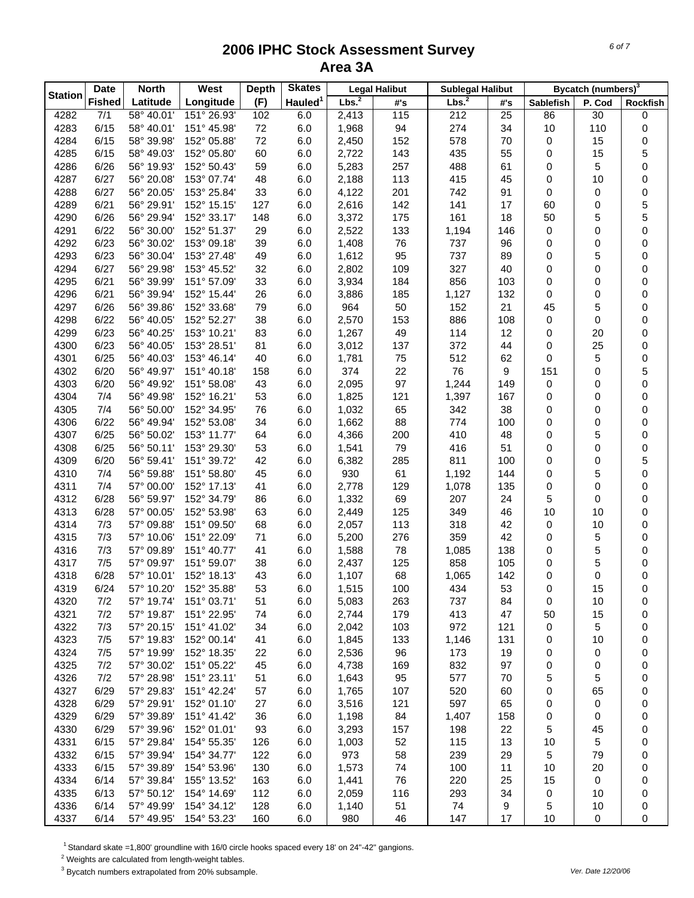|                | <b>Date</b>   | <b>North</b>             | West                       | <b>Depth</b> | <b>Skates</b>       |                   | <b>Legal Halibut</b> | <b>Sublegal Halibut</b> |           |                  | Bycatch (numbers) <sup>3</sup> |          |
|----------------|---------------|--------------------------|----------------------------|--------------|---------------------|-------------------|----------------------|-------------------------|-----------|------------------|--------------------------------|----------|
| <b>Station</b> | <b>Fished</b> | Latitude                 | Longitude                  | (F)          | Hauled <sup>1</sup> | Lbs. <sup>2</sup> | #'s                  | Lbs. <sup>2</sup>       | #'s       | <b>Sablefish</b> | P. Cod                         | Rockfish |
| 4282           | 7/1           | 58° 40.01'               | 151° 26.93'                | 102          | 6.0                 | 2,413             | 115                  | 212                     | 25        | 86               | 30                             | 0        |
| 4283           | 6/15          | 58° 40.01'               | 151° 45.98'                | 72           | 6.0                 | 1,968             | 94                   | 274                     | 34        | 10               | 110                            | 0        |
| 4284           | 6/15          | 58° 39.98'               | 152° 05.88'                | 72           | 6.0                 | 2,450             | 152                  | 578                     | 70        | 0                | 15                             | 0        |
| 4285           | 6/15          | 58° 49.03'               | 152° 05.80'                | 60           | 6.0                 | 2,722             | 143                  | 435                     | 55        | 0                | 15                             | 5        |
| 4286           | 6/26          | 56° 19.93'               | 152° 50.43'                | 59           | 6.0                 | 5,283             | 257                  | 488                     | 61        | 0                | 5                              | 0        |
| 4287           | 6/27          | 56° 20.08'               | 153° 07.74'                | 48           | 6.0                 | 2,188             | 113                  | 415                     | 45        | 0                | 10                             | 0        |
| 4288           | 6/27          | 56° 20.05'               | 153° 25.84'                | 33           | 6.0                 | 4,122             | 201                  | 742                     | 91        | 0                | 0                              | 0        |
| 4289           | 6/21          | 56° 29.91'               | 152° 15.15'                | 127          | 6.0                 | 2,616             | 142                  | 141                     | 17        | 60               | 0                              | 5        |
| 4290           | 6/26          | 56° 29.94'               | 152° 33.17'                | 148          | 6.0                 | 3,372             | 175                  | 161                     | 18        | 50               | 5                              | 5        |
| 4291           | 6/22          | 56° 30.00                | 152° 51.37'                | 29           | 6.0                 | 2,522             | 133                  | 1,194                   | 146       | 0                | 0                              | 0        |
| 4292           | 6/23          | 56° 30.02'               | 153° 09.18'                | 39           | 6.0                 | 1,408             | 76                   | 737                     | 96        | 0                | 0                              | 0        |
| 4293           | 6/23          | 56° 30.04'               | 153° 27.48'                | 49           | 6.0                 | 1,612             | 95                   | 737                     | 89        | 0                | 5                              | 0        |
| 4294           | 6/27          | 56° 29.98'               | 153° 45.52'                | 32           | 6.0                 | 2,802             | 109                  | 327                     | 40        | 0                | 0                              | 0        |
| 4295           | 6/21          | 56° 39.99'               | 151° 57.09'                | 33           | 6.0                 | 3,934             | 184                  | 856                     | 103       | 0                | 0                              | 0        |
| 4296           | 6/21          | 56° 39.94'               | 152° 15.44'                | 26           | 6.0                 | 3,886             | 185                  | 1,127                   | 132       | 0                | 0                              | 0        |
| 4297           | 6/26<br>6/22  | 56° 39.86'<br>56° 40.05' | 152° 33.68'<br>152° 52.27' | 79           | 6.0                 | 964               | 50                   | 152                     | 21        | 45               | 5                              | 0        |
| 4298<br>4299   | 6/23          | 56° 40.25'               | 153° 10.21'                | 38           | 6.0<br>6.0          | 2,570             | 153<br>49            | 886<br>114              | 108<br>12 | 0<br>0           | 0<br>20                        | 0<br>0   |
| 4300           | 6/23          | 56° 40.05                | 153° 28.51'                | 83<br>81     | 6.0                 | 1,267<br>3,012    | 137                  | 372                     | 44        | 0                | 25                             | 0        |
| 4301           | 6/25          | 56° 40.03'               | 153° 46.14'                | 40           | 6.0                 | 1,781             | 75                   | 512                     | 62        | 0                | 5                              | 0        |
| 4302           | 6/20          | 56° 49.97'               | 151° 40.18'                | 158          | 6.0                 | 374               | 22                   | 76                      | 9         | 151              | 0                              | 5        |
| 4303           | 6/20          | 56° 49.92'               | 151° 58.08'                | 43           | 6.0                 | 2,095             | 97                   | 1,244                   | 149       | 0                | 0                              | 0        |
| 4304           | 7/4           | 56° 49.98'               | 152° 16.21'                | 53           | 6.0                 | 1,825             | 121                  | 1,397                   | 167       | 0                | 0                              | 0        |
| 4305           | 7/4           | 56° 50.00'               | 152° 34.95'                | 76           | 6.0                 | 1,032             | 65                   | 342                     | 38        | 0                | 0                              | 0        |
| 4306           | 6/22          | 56° 49.94'               | 152° 53.08'                | 34           | 6.0                 | 1,662             | 88                   | 774                     | 100       | 0                | 0                              | 0        |
| 4307           | 6/25          | 56° 50.02'               | 153° 11.77'                | 64           | 6.0                 | 4,366             | 200                  | 410                     | 48        | 0                | 5                              | 0        |
| 4308           | 6/25          | 56° 50.11'               | 153° 29.30'                | 53           | 6.0                 | 1,541             | 79                   | 416                     | 51        | 0                | 0                              | 0        |
| 4309           | 6/20          | 56° 59.41'               | 151° 39.72'                | 42           | 6.0                 | 6,382             | 285                  | 811                     | 100       | 0                | 0                              | 5        |
| 4310           | 7/4           | 56° 59.88'               | 151° 58.80'                | 45           | 6.0                 | 930               | 61                   | 1,192                   | 144       | 0                | 5                              | 0        |
| 4311           | 7/4           | 57° 00.00'               | 152° 17.13'                | 41           | 6.0                 | 2,778             | 129                  | 1,078                   | 135       | 0                | 0                              | 0        |
| 4312           | 6/28          | 56° 59.97'               | 152° 34.79'                | 86           | 6.0                 | 1,332             | 69                   | 207                     | 24        | 5                | 0                              | 0        |
| 4313           | 6/28          | 57° 00.05'               | 152° 53.98'                | 63           | 6.0                 | 2,449             | 125                  | 349                     | 46        | 10               | 10                             | 0        |
| 4314           | 7/3           | 57° 09.88'               | 151° 09.50'                | 68           | 6.0                 | 2,057             | 113                  | 318                     | 42        | 0                | 10                             | 0        |
| 4315           | 7/3           | 57° 10.06'               | 151° 22.09'                | 71           | 6.0                 | 5,200             | 276                  | 359                     | 42        | 0                | 5                              | 0        |
| 4316           | 7/3           | 57° 09.89'               | 151° 40.77'                | 41           | 6.0                 | 1,588             | 78                   | 1,085                   | 138       | 0                | 5                              | 0        |
| 4317           | 7/5           | 57° 09.97'               | 151° 59.07'                | 38           | 6.0                 | 2,437             | 125                  | 858                     | 105       | 0                | 5                              | 0        |
| 4318           | 6/28          | 57° 10.01'               | 152° 18.13'                | 43           | 6.0                 | 1,107             | 68                   | 1,065                   | 142       | 0                | 0                              | 0        |
| 4319           | 6/24          | 57° 10.20'               | 152° 35.88'                | 53           | 6.0                 | 1,515             | 100                  | 434                     | 53        | 0                | 15                             | 0        |
| 4320           | 7/2           | 57° 19.74'               | 151° 03.71'                | 51           | 6.0                 | 5,083             | 263                  | 737                     | 84        | 0                | 10                             | 0        |
| 4321           | 7/2           | 57° 19.87'               | 151° 22.95'                | 74           | 6.0                 | 2,744             | 179                  | 413                     | 47        | 50               | 15                             | 0        |
| 4322           | 7/3           | 57° 20.15'               | 151° 41.02'                | 34           | 6.0                 | 2,042             | 103                  | 972                     | 121       | 0                | 5                              | 0        |
| 4323           | 7/5           | 57° 19.83'               | 152° 00.14'                | 41           | 6.0                 | 1,845             | 133                  | 1,146                   | 131       | 0                | 10                             | 0        |
| 4324           | 7/5           | 57° 19.99'               | 152° 18.35'                | 22           | 6.0                 | 2,536             | 96                   | 173                     | 19        | 0                | 0                              | 0        |
| 4325           | 7/2           | 57° 30.02'               | 151° 05.22'                | 45           | 6.0                 | 4,738             | 169                  | 832                     | 97        | 0                | 0                              | 0        |
| 4326           | 7/2           | 57° 28.98'               | 151° 23.11'                | 51           | 6.0                 | 1,643             | 95                   | 577                     | 70        | 5                | 5                              | 0        |
| 4327           | 6/29          | 57° 29.83'               | 151° 42.24'                | 57           | 6.0                 | 1,765             | 107                  | 520                     | 60        | 0                | 65                             | 0        |
| 4328           | 6/29          | 57° 29.91'               | 152° 01.10'                | 27           | 6.0                 | 3,516             | 121                  | 597                     | 65        | 0                | 0                              | 0        |
| 4329<br>4330   | 6/29<br>6/29  | 57° 39.89'<br>57° 39.96' | 151° 41.42'<br>152° 01.01' | 36<br>93     | 6.0                 | 1,198             | 84                   | 1,407<br>198            | 158<br>22 | 0                | 0<br>45                        | 0        |
|                |               |                          |                            |              | 6.0                 | 3,293             | 157                  |                         |           | 5                |                                | 0        |
| 4331<br>4332   | 6/15<br>6/15  | 57° 29.84'<br>57° 39.94' | 154° 55.35'<br>154° 34.77' | 126<br>122   | 6.0<br>6.0          | 1,003<br>973      | 52<br>58             | 115<br>239              | 13<br>29  | 10<br>5          | 5<br>79                        | 0        |
| 4333           | 6/15          | 57° 39.89'               | 154° 53.96'                | 130          | 6.0                 | 1,573             | 74                   | 100                     | 11        | 10               | 20                             | 0<br>0   |
| 4334           | 6/14          | 57° 39.84'               | 155° 13.52'                | 163          | 6.0                 | 1,441             | 76                   | 220                     | 25        | 15               | 0                              | 0        |
| 4335           | 6/13          | 57° 50.12'               | 154° 14.69'                | 112          | 6.0                 | 2,059             | 116                  | 293                     | 34        | 0                | 10                             | 0        |
| 4336           | 6/14          | 57° 49.99'               | 154° 34.12'                | 128          | 6.0                 | 1,140             | 51                   | 74                      | 9         | 5                | 10                             | 0        |
| 4337           | 6/14          | 57° 49.95'               | 154° 53.23'                | 160          | 6.0                 | 980               | 46                   | 147                     | 17        | 10               | 0                              | 0        |

<sup>1</sup> Standard skate =1,800' groundline with 16/0 circle hooks spaced every 18' on 24"-42" gangions.

 $2$  Weights are calculated from length-weight tables.